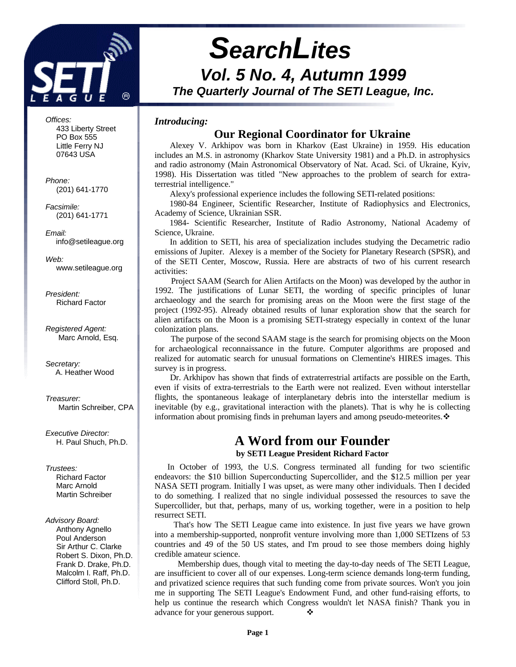

*Vol. 5 No. 4, Autumn 1999 The Quarterly Journal of The SETI League, Inc.*

# *Introducing:* **Our Regional Coordinator for Ukraine**

*SearchLites*

Alexey V. Arkhipov was born in Kharkov (East Ukraine) in 1959. His education includes an M.S. in astronomy (Kharkov State University 1981) and a Ph.D. in astrophysics and radio astronomy (Main Astronomical Observatory of Nat. Acad. Sci. of Ukraine, Kyiv, 1998). His Dissertation was titled "New approaches to the problem of search for extraterrestrial intelligence."

Alexy's professional experience includes the following SETI-related positions:

 1980-84 Engineer, Scientific Researcher, Institute of Radiophysics and Electronics, Academy of Science, Ukrainian SSR.

 1984- Scientific Researcher, Institute of Radio Astronomy, National Academy of Science, Ukraine.

In addition to SETI, his area of specialization includes studying the Decametric radio emissions of Jupiter. Alexey is a member of the Society for Planetary Research (SPSR), and of the SETI Center, Moscow, Russia. Here are abstracts of two of his current research activities:

 Project SAAM (Search for Alien Artifacts on the Moon) was developed by the author in 1992. The justifications of Lunar SETI, the wording of specific principles of lunar archaeology and the search for promising areas on the Moon were the first stage of the project (1992-95). Already obtained results of lunar exploration show that the search for alien artifacts on the Moon is a promising SETI-strategy especially in context of the lunar colonization plans.

 The purpose of the second SAAM stage is the search for promising objects on the Moon for archaeological reconnaissance in the future. Computer algorithms are proposed and realized for automatic search for unusual formations on Clementine's HIRES images. This survey is in progress.

 Dr. Arkhipov has shown that finds of extraterrestrial artifacts are possible on the Earth, even if visits of extra-terrestrials to the Earth were not realized. Even without interstellar flights, the spontaneous leakage of interplanetary debris into the interstellar medium is inevitable (by e.g., gravitational interaction with the planets). That is why he is collecting information about promising finds in prehuman layers and among pseudo-meteorites. $\mathbf{\hat{\cdot}}$ 

# **A Word from our Founder**

**by SETI League President Richard Factor**

 In October of 1993, the U.S. Congress terminated all funding for two scientific endeavors: the \$10 billion Superconducting Supercollider, and the \$12.5 million per year NASA SETI program. Initially I was upset, as were many other individuals. Then I decided to do something. I realized that no single individual possessed the resources to save the Supercollider, but that, perhaps, many of us, working together, were in a position to help resurrect SETI.

 That's how The SETI League came into existence. In just five years we have grown into a membership-supported, nonprofit venture involving more than 1,000 SETIzens of 53 countries and 49 of the 50 US states, and I'm proud to see those members doing highly credible amateur science.

 Membership dues, though vital to meeting the day-to-day needs of The SETI League, are insufficient to cover all of our expenses. Long-term science demands long-term funding, and privatized science requires that such funding come from private sources. Won't you join me in supporting The SETI League's Endowment Fund, and other fund-raising efforts, to help us continue the research which Congress wouldn't let NASA finish? Thank you in advance for your generous support.  $\bullet$ 

*Offices:* 433 Liberty Street PO Box 555 Little Ferry NJ 07643 USA

*Phone:* (201) 641-1770

*Facsimile:* (201) 641-1771

*Email:* info@setileague.org

*Web:* www.setileague.org

*President:* Richard Factor

*Registered Agent:* Marc Arnold, Esq.

*Secretary:* A. Heather Wood

*Treasurer:* Martin Schreiber, CPA

*Executive Director:* H. Paul Shuch, Ph.D.

# *Trustees:*

**Richard Factor**  Marc Arnold Martin Schreiber

#### *Advisory Board:*

 Anthony Agnello Poul Anderson Sir Arthur C. Clarke Robert S. Dixon, Ph.D. Frank D. Drake, Ph.D. Malcolm I. Raff, Ph.D. Clifford Stoll, Ph.D.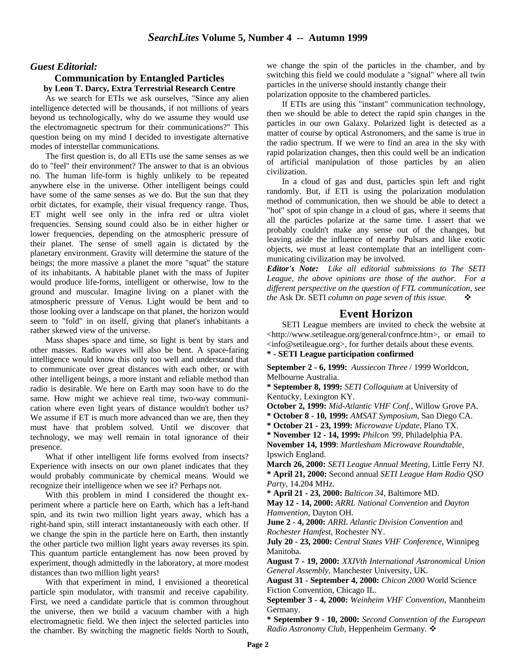## *Guest Editorial:*

#### **Communication by Entangled Particles by Leon T. Darcy, Extra Terrestrial Research Centre**

As we search for ETIs we ask ourselves, "Since any alien intelligence detected will be thousands, if not millions of years beyond us technologically, why do we assume they would use the electromagnetic spectrum for their communications?" This question being on my mind I decided to investigate alternative modes of interstellar communications.

The first question is, do all ETIs use the same senses as we do to "feel" their environment? The answer to that is an obvious no. The human life-form is highly unlikely to be repeated anywhere else in the universe. Other intelligent beings could have some of the same senses as we do. But the sun that they orbit dictates, for example, their visual frequency range. Thus, ET might well see only in the infra red or ultra violet frequencies. Sensing sound could also be in either higher or lower frequencies, depending on the atmospheric pressure of their planet. The sense of smell again is dictated by the planetary environment. Gravity will determine the stature of the beings; the more massive a planet the more "squat" the stature of its inhabitants. A habitable planet with the mass of Jupiter would produce life-forms, intelligent or otherwise, low to the ground and muscular. Imagine living on a planet with the atmospheric pressure of Venus. Light would be bent and to those looking over a landscape on that planet, the horizon would seem to "fold" in on itself, giving that planet's inhabitants a rather skewed view of the universe.

Mass shapes space and time, so light is bent by stars and other masses. Radio waves will also be bent. A space-faring intelligence would know this only too well and understand that to communicate over great distances with each other, or with other intelligent beings, a more instant and reliable method than radio is desirable. We here on Earth may soon have to do the same. How might we achieve real time, two-way communication where even light years of distance wouldn't bother us? We assume if ET is much more advanced than we are, then they must have that problem solved. Until we discover that technology, we may well remain in total ignorance of their presence.

What if other intelligent life forms evolved from insects? Experience with insects on our own planet indicates that they would probably communicate by chemical means. Would we recognize their intelligence when we see it? Perhaps not.

With this problem in mind I considered the thought experiment where a particle here on Earth, which has a left-hand spin, and its twin two million light years away, which has a right-hand spin, still interact instantaneously with each other. If we change the spin in the particle here on Earth, then instantly the other particle two million light years away reverses its spin. This quantum particle entanglement has now been proved by experiment, though admittedly in the laboratory, at more modest distances than two million light years!

With that experiment in mind, I envisioned a theoretical particle spin modulator, with transmit and receive capability. First, we need a candidate particle that is common throughout the universe, then we build a vacuum chamber with a high electromagnetic field. We then inject the selected particles into the chamber. By switching the magnetic fields North to South,

we change the spin of the particles in the chamber, and by switching this field we could modulate a "signal" where all twin particles in the universe should instantly change their polarization opposite to the chambered particles.

If ETIs are using this "instant" communication technology, then we should be able to detect the rapid spin changes in the particles in our own Galaxy. Polarized light is detected as a matter of course by optical Astronomers, and the same is true in the radio spectrum. If we were to find an area in the sky with rapid polarization changes, then this could well be an indication of artificial manipulation of those particles by an alien civilization.

In a cloud of gas and dust, particles spin left and right randomly. But, if ETI is using the polarization modulation method of communication, then we should be able to detect a "hot" spot of spin change in a cloud of gas, where it seems that all the particles polarize at the same time. I assert that we probably couldn't make any sense out of the changes, but leaving aside the influence of nearby Pulsars and like exotic objects, we must at least contemplate that an intelligent communicating civilization may be involved.

*Editor's Note: Like all editorial submissions to The SETI League, the above opinions are those of the author. For a different perspective on the question of FTL communication, see the* Ask Dr. SETI *column on page seven of this issue.*  $\cdot$ 

# **Event Horizon**

SETI League members are invited to check the website at <http://www.setileague.org/general/confrnce.htm>, or email to <info@setileague.org>, for further details about these events.

**\* - SETI League participation confirmed**

**September 2 - 6, 1999:** *Aussiecon Three* / 1999 Worldcon, Melbourne Australia.

**\* September 8, 1999:** *SETI Colloquium* at University of Kentucky, Lexington KY.

**October 2, 1999:** *Mid-Atlantic VHF Conf.*, Willow Grove PA.

**\* October 8 - 10, 1999:** *AMSAT Symposium*, San Diego CA.

**\* October 21 - 23, 1999:** *Microwave Update*, Plano TX.

**\* November 12 - 14, 1999:** *Philcon '99*, Philadelphia PA.

**November 14, 1999**: *Martlesham Microwave Roundtable*, Ipswich England.

**March 26, 2000:** *SETI League Annual Meeting,* Little Ferry NJ. **\* April 21, 2000:** Second annual *SETI League Ham Radio QSO Party*, 14.204 MHz.

**\* April 21 - 23, 2000:** *Balticon 34*, Baltimore MD.

**May 12 - 14, 2000:** *ARRL National Convention* and *Dayton Hamvention*, Dayton OH.

**June 2 - 4, 2000:** *ARRL Atlantic Division Convention* and *Rochester Hamfest*, Rochester NY.

**July 20 - 23, 2000:** *Central States VHF Conference*, Winnipeg Manitoba.

**August 7 - 19, 2000:** *XXIVth International Astronomical Union General Assembly*, Manchester University, UK.

**August 31 - September 4, 2000:** *Chicon 2000* World Science Fiction Convention, Chicago IL.

**September 3 - 4, 2000:** *Weinheim VHF Convention*, Mannheim Germany.

**\* September 9 - 10, 2000:** *Second Convention of the European Radio Astronomy Club*, Heppenheim Germany. ❖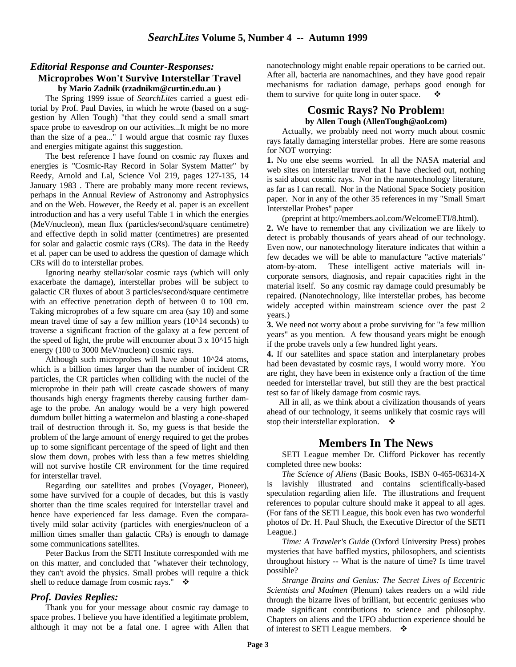# *Editorial Response and Counter-Responses:* **Microprobes Won't Survive Interstellar Travel**

**by Mario Zadnik (rzadnikm@curtin.edu.au )**

The Spring 1999 issue of *SearchLites* carried a guest editorial by Prof. Paul Davies, in which he wrote (based on a suggestion by Allen Tough) "that they could send a small smart space probe to eavesdrop on our activities...It might be no more than the size of a pea..." I would argue that cosmic ray fluxes and energies mitigate against this suggestion.

The best reference I have found on cosmic ray fluxes and energies is "Cosmic-Ray Record in Solar System Matter" by Reedy, Arnold and Lal, Science Vol 219, pages 127-135, 14 January 1983 . There are probably many more recent reviews, perhaps in the Annual Review of Astronomy and Astrophysics and on the Web. However, the Reedy et al. paper is an excellent introduction and has a very useful Table 1 in which the energies (MeV/nucleon), mean flux (particles/second/square centimetre) and effective depth in solid matter (centimetres) are presented for solar and galactic cosmic rays (CRs). The data in the Reedy et al. paper can be used to address the question of damage which CRs will do to interstellar probes.

Ignoring nearby stellar/solar cosmic rays (which will only exacerbate the damage), interstellar probes will be subject to galactic CR fluxes of about 3 particles/second/square centimetre with an effective penetration depth of between 0 to 100 cm. Taking microprobes of a few square cm area (say 10) and some mean travel time of say a few million years (10^14 seconds) to traverse a significant fraction of the galaxy at a few percent of the speed of light, the probe will encounter about  $3 \times 10^{15}$  high energy (100 to 3000 MeV/nucleon) cosmic rays.

Although such microprobes will have about 10^24 atoms, which is a billion times larger than the number of incident CR particles, the CR particles when colliding with the nuclei of the microprobe in their path will create cascade showers of many thousands high energy fragments thereby causing further damage to the probe. An analogy would be a very high powered dumdum bullet hitting a watermelon and blasting a cone-shaped trail of destruction through it. So, my guess is that beside the problem of the large amount of energy required to get the probes up to some significant percentage of the speed of light and then slow them down, probes with less than a few metres shielding will not survive hostile CR environment for the time required for interstellar travel.

Regarding our satellites and probes (Voyager, Pioneer), some have survived for a couple of decades, but this is vastly shorter than the time scales required for interstellar travel and hence have experienced far less damage. Even the comparatively mild solar activity (particles with energies/nucleon of a million times smaller than galactic CRs) is enough to damage some communications satellites.

Peter Backus from the SETI Institute corresponded with me on this matter, and concluded that "whatever their technology, they can't avoid the physics. Small probes will require a thick shell to reduce damage from cosmic rays."  $\cdot \cdot$ 

# *Prof. Davies Replies:*

Thank you for your message about cosmic ray damage to space probes. I believe you have identified a legitimate problem, although it may not be a fatal one. I agree with Allen that nanotechnology might enable repair operations to be carried out. After all, bacteria are nanomachines, and they have good repair mechanisms for radiation damage, perhaps good enough for them to survive for quite long in outer space.

# **Cosmic Rays? No Problem! by Allen Tough (AllenTough@aol.com)**

Actually, we probably need not worry much about cosmic rays fatally damaging interstellar probes. Here are some reasons for NOT worrying:

**1.** No one else seems worried. In all the NASA material and web sites on interstellar travel that I have checked out, nothing is said about cosmic rays. Nor in the nanotechnology literature, as far as I can recall. Nor in the National Space Society position paper. Nor in any of the other 35 references in my "Small Smart Interstellar Probes" paper

(preprint at http://members.aol.com/WelcomeETI/8.html). **2.** We have to remember that any civilization we are likely to detect is probably thousands of years ahead of our technology. Even now, our nanotechnology literature indicates that within a few decades we will be able to manufacture "active materials" atom-by-atom. These intelligent active materials will incorporate sensors, diagnosis, and repair capacities right in the material itself. So any cosmic ray damage could presumably be repaired. (Nanotechnology, like interstellar probes, has become widely accepted within mainstream science over the past 2 years.)

**3.** We need not worry about a probe surviving for "a few million years" as you mention. A few thousand years might be enough if the probe travels only a few hundred light years.

**4.** If our satellites and space station and interplanetary probes had been devastated by cosmic rays, I would worry more. You are right, they have been in existence only a fraction of the time needed for interstellar travel, but still they are the best practical test so far of likely damage from cosmic rays.

 All in all, as we think about a civilization thousands of years ahead of our technology, it seems unlikely that cosmic rays will stop their interstellar exploration.  $\bullet$ 

# **Members In The News**

SETI League member Dr. Clifford Pickover has recently completed three new books:

*The Science of Aliens* (Basic Books, ISBN 0-465-06314-X is lavishly illustrated and contains scientifically-based speculation regarding alien life. The illustrations and frequent references to popular culture should make it appeal to all ages. (For fans of the SETI League, this book even has two wonderful photos of Dr. H. Paul Shuch, the Executive Director of the SETI League.)

*Time: A Traveler's Guide* (Oxford University Press) probes mysteries that have baffled mystics, philosophers, and scientists throughout history -- What is the nature of time? Is time travel possible?

*Strange Brains and Genius: The Secret Lives of Eccentric Scientists and Madmen* (Plenum) takes readers on a wild ride through the bizarre lives of brilliant, but eccentric geniuses who made significant contributions to science and philosophy. Chapters on aliens and the UFO abduction experience should be of interest to SETI League members.  $\cdot$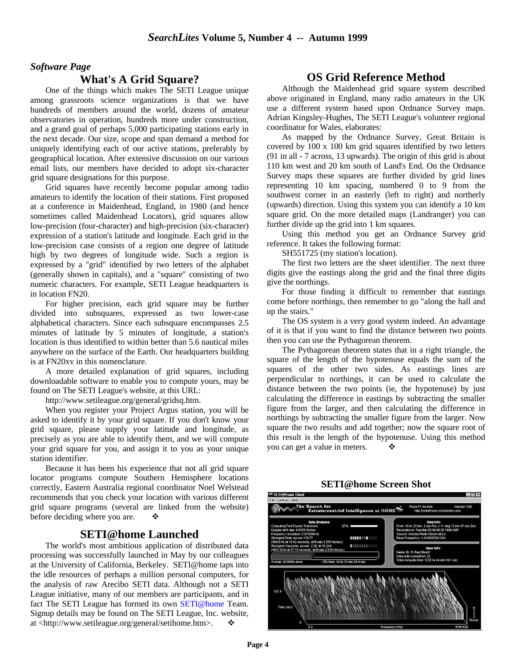# *Software Page*

# **What's A Grid Square?**

One of the things which makes The SETI League unique among grassroots science organizations is that we have hundreds of members around the world, dozens of amateur observatories in operation, hundreds more under construction, and a grand goal of perhaps 5,000 participating stations early in the next decade. Our size, scope and span demand a method for uniquely identifying each of our active stations, preferably by geographical location. After extensive discussion on our various email lists, our members have decided to adopt six-character grid square designations for this purpose.

Grid squares have recently become popular among radio amateurs to identify the location of their stations. First proposed at a conference in Maidenhead, England, in 1980 (and hence sometimes called Maidenhead Locators), grid squares allow low-precision (four-character) and high-precision (six-character) expression of a station's latitude and longitude. Each grid in the low-precision case consists of a region one degree of latitude high by two degrees of longitude wide. Such a region is expressed by a "grid" identified by two letters of the alphabet (generally shown in capitals), and a "square" consisting of two numeric characters. For example, SETI League headquarters is in location FN20.

For higher precision, each grid square may be further divided into subsquares, expressed as two lower-case alphabetical characters. Since each subsquare encompasses 2.5 minutes of latitude by 5 minutes of longitude, a station's location is thus identified to within better than 5.6 nautical miles anywhere on the surface of the Earth. Our headquarters building is at FN20xv in this nomenclature.

A more detailed explanation of grid squares, including downloadable software to enable you to compute yours, may be found on The SETI League's website, at this URL:

http://www.setileague.org/general/gridsq.htm.

When you register your Project Argus station, you will be asked to identify it by your grid square. If you don't know your grid square, please supply your latitude and longitude, as precisely as you are able to identify them, and we will compute your grid square for you, and assign it to you as your unique station identifier.

Because it has been his experience that not all grid square locator programs compute Southern Hemisphere locations correctly, Eastern Australia regional coordinator Noel Welstead recommends that you check your location with various different grid square programs (several are linked from the website) before deciding where you are.  $\bullet$ 

# **SETI@home Launched**

The world's most ambitious application of distributed data processing was successfully launched in May by our colleagues at the University of California, Berkeley. SETI@home taps into the idle resources of perhaps a million personal computers, for the analysis of raw Arecibo SETI data. Although not a SETI League initiative, many of our members are participants, and in fact The SETI League has formed its own SETI@home Team. Signup details may be found on The SETI League, Inc. website, at <http://www.setileague.org/general/setihome.htm>. v

# **OS Grid Reference Method**

Although the Maidenhead grid square system described above originated in England, many radio amateurs in the UK use a different system based upon Ordnance Survey maps. Adrian Kingsley-Hughes, The SETI League's volunteer regional coordinator for Wales, elaborates:

As mapped by the Ordnance Survey, Great Britain is covered by 100 x 100 km grid squares identified by two letters (91 in all - 7 across, 13 upwards). The origin of this grid is about 110 km west and 20 km south of Land's End. On the Ordnance Survey maps these squares are further divided by grid lines representing 10 km spacing, numbered 0 to 9 from the southwest corner in an easterly (left to right) and northerly (upwards) direction. Using this system you can identify a 10 km square grid. On the more detailed maps (Landranger) you can further divide up the grid into 1 km squares.

Using this method you get an Ordnance Survey grid reference. It takes the following format:

SH551725 (my station's location).

The first two letters are the sheet identifier. The next three digits give the eastings along the grid and the final three digits give the northings.

For those finding it difficult to remember that eastings come before northings, then remember to go "along the hall and up the stairs."

The OS system is a very good system indeed. An advantage of it is that if you want to find the distance between two points then you can use the Pythagorean theorem.

The Pythagorean theorem states that in a right triangle, the square of the length of the hypotenuse equals the sum of the squares of the other two sides. As eastings lines are perpendicular to northings, it can be used to calculate the distance between the two points (ie, the hypotenuse) by just calculating the difference in eastings by subtracting the smaller figure from the larger, and then calculating the difference in northings by subtracting the smaller figure from the larger. Now square the two results and add together; now the square root of this result is the length of the hypotenuse. Using this method you can get a value in meters.

## **SETI@home Screen Shot**

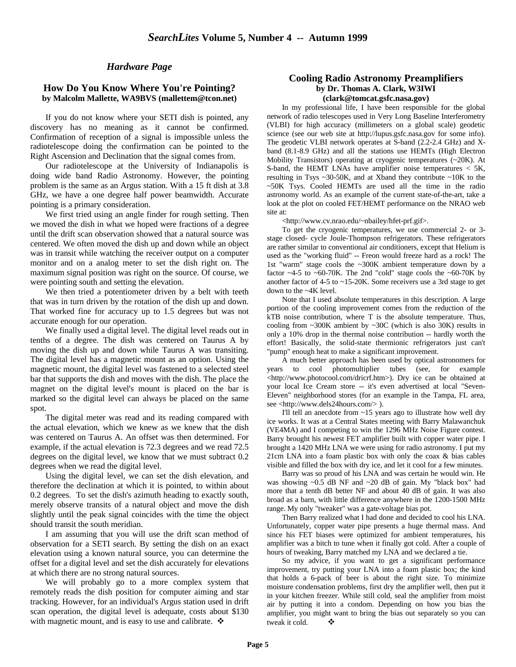# *Hardware Page*

## **How Do You Know Where You're Pointing? by Malcolm Mallette, WA9BVS (mallettem@tcon.net)**

If you do not know where your SETI dish is pointed, any discovery has no meaning as it cannot be confirmed. Confirmation of reception of a signal is impossible unless the radiotelescope doing the confirmation can be pointed to the Right Ascension and Declination that the signal comes from.

Our radiotelescope at the University of Indianapolis is doing wide band Radio Astronomy. However, the pointing problem is the same as an Argus station. With a 15 ft dish at 3.8 GHz, we have a one degree half power beamwidth. Accurate pointing is a primary consideration.

We first tried using an angle finder for rough setting. Then we moved the dish in what we hoped were fractions of a degree until the drift scan observation showed that a natural source was centered. We often moved the dish up and down while an object was in transit while watching the receiver output on a computer monitor and on a analog meter to set the dish right on. The maximum signal position was right on the source. Of course, we were pointing south and setting the elevation.

We then tried a potentiometer driven by a belt with teeth that was in turn driven by the rotation of the dish up and down. That worked fine for accuracy up to 1.5 degrees but was not accurate enough for our operation.

We finally used a digital level. The digital level reads out in tenths of a degree. The dish was centered on Taurus A by moving the dish up and down while Taurus A was transiting. The digital level has a magnetic mount as an option. Using the magnetic mount, the digital level was fastened to a selected steel bar that supports the dish and moves with the dish. The place the magnet on the digital level's mount is placed on the bar is marked so the digital level can always be placed on the same spot.

The digital meter was read and its reading compared with the actual elevation, which we knew as we knew that the dish was centered on Taurus A. An offset was then determined. For example, if the actual elevation is 72.3 degrees and we read 72.5 degrees on the digital level, we know that we must subtract 0.2 degrees when we read the digital level.

Using the digital level, we can set the dish elevation, and therefore the declination at which it is pointed, to within about 0.2 degrees. To set the dish's azimuth heading to exactly south, merely observe transits of a natural object and move the dish slightly until the peak signal coincides with the time the object should transit the south meridian.

I am assuming that you will use the drift scan method of observation for a SETI search. By setting the dish on an exact elevation using a known natural source, you can determine the offset for a digital level and set the dish accurately for elevations at which there are no strong natural sources.

We will probably go to a more complex system that remotely reads the dish position for computer aiming and star tracking. However, for an individual's Argus station used in drift scan operation, the digital level is adequate, costs about \$130 with magnetic mount, and is easy to use and calibrate.  $\mathbf{\hat{v}}$ 

## **Cooling Radio Astronomy Preamplifiers by Dr. Thomas A. Clark, W3IWI (clark@tomcat.gsfc.nasa.gov)**

In my professional life, I have been responsible for the global network of radio telescopes used in Very Long Baseline Interferometry (VLBI) for high accuracy (millimeters on a global scale) geodetic science (see our web site at http://lupus.gsfc.nasa.gov for some info). The geodetic VLBI network operates at S-band (2.2-2.4 GHz) and Xband (8.1-8.9 GHz) and all the stations use HEMTs (High Electron Mobility Transistors) operating at cryogenic temperatures (~20K). At S-band, the HEMT LNAs have amplifier noise temperatures < 5K, resulting in Tsys  $\sim$ 30-50K, and at Xband they contribute  $\sim$ 10K to the ~50K Tsys. Cooled HEMTs are used all the time in the radio astronomy world. As an example of the current state-of-the-art, take a look at the plot on cooled FET/HEMT performance on the NRAO web site at:

<http://www.cv.nrao.edu/~nbailey/hfet-prf.gif>.

To get the cryogenic temperatures, we use commercial 2- or 3 stage closed- cycle Joule-Thompson refrigerators. These refrigerators are rather similar to conventional air conditioners, except that Helium is used as the "working fluid" -- Freon would freeze hard as a rock! The 1st "warm" stage cools the ~300K ambient temperature down by a factor  $\sim$  4-5 to  $\sim$  60-70K. The 2nd "cold" stage cools the  $\sim$  60-70K by another factor of 4-5 to ~15-20K. Some receivers use a 3rd stage to get down to the ~4K level.

Note that I used absolute temperatures in this description. A large portion of the cooling improvement comes from the reduction of the kTB noise contribution, where T is the absolute temperature. Thus, cooling from ~300K ambient by ~30C (which is also 30K) results in only a 10% drop in the thermal noise contribution -- hardly worth the effort! Basically, the solid-state thermionic refrigerators just can't "pump" enough heat to make a significant improvement.

A much better approach has been used by optical astronomers for years to cool photomultiplier tubes (see, for example <http://www.photocool.com/dricrf.htm>). Dry ice can be obtained at your local Ice Cream store -- it's even advertised at local "Seven-Eleven" neighborhood stores (for an example in the Tampa, FL area, see <http://www.dels24hours.com/> ).

I'll tell an anecdote from ~15 years ago to illustrate how well dry ice works. It was at a Central States meeting with Barry Malawanchuk (VE4MA) and I competing to win the 1296 MHz Noise Figure contest. Barry brought his newest FET amplifier built with copper water pipe. I brought a 1420 MHz LNA we were using for radio astronomy. I put my 21cm LNA into a foam plastic box with only the coax & bias cables visible and filled the box with dry ice, and let it cool for a few minutes.

Barry was so proud of his LNA and was certain he would win. He was showing  $\sim 0.5$  dB NF and  $\sim 20$  dB of gain. My "black box" had more that a tenth dB better NF and about 40 dB of gain. It was also broad as a barn, with little difference anywhere in the 1200-1500 MHz range. My only "tweaker" was a gate-voltage bias pot.

Then Barry realized what I had done and decided to cool his LNA. Unfortunately, copper water pipe presents a huge thermal mass. And since his FET biases were optimized for ambient temperatures, his amplifier was a bitch to tune when it finally got cold. After a couple of hours of tweaking, Barry matched my LNA and we declared a tie.

So my advice, if you want to get a significant performance improvement, try putting your LNA into a foam plastic box; the kind that holds a 6-pack of beer is about the right size. To minimize moisture condensation problems, first dry the amplifier well, then put it in your kitchen freezer. While still cold, seal the amplifier from moist air by putting it into a condom. Depending on how you bias the amplifier, you might want to bring the bias out separately so you can tweak it cold.  $\bullet$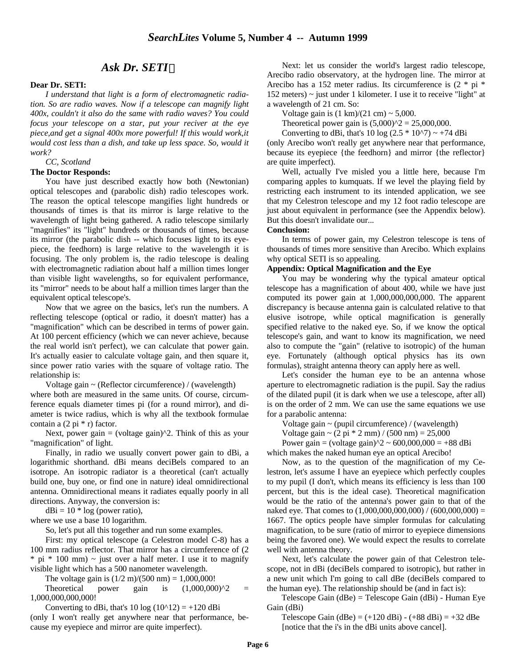# *Ask Dr. SETI*

#### **Dear Dr. SETI:**

*I understand that light is a form of electromagnetic radiation. So are radio waves. Now if a telescope can magnify light 400x, couldn't it also do the same with radio waves? You could focus your telescope on a star, put your reciver at the eye piece,and get a signal 400x more powerful! If this would work,it would cost less than a dish, and take up less space. So, would it work?*

*CC, Scotland*

#### **The Doctor Responds:**

You have just described exactly how both (Newtonian) optical telescopes and (parabolic dish) radio telescopes work. The reason the optical telescope mangifies light hundreds or thousands of times is that its mirror is large relative to the wavelength of light being gathered. A radio telescope similarly "magnifies" its "light" hundreds or thousands of times, because its mirror (the parabolic dish -- which focuses light to its eyepiece, the feedhorn) is large relative to the wavelength it is focusing. The only problem is, the radio telescope is dealing with electromagnetic radiation about half a million times longer than visible light wavelengths, so for equivalent performance, its "mirror" needs to be about half a million times larger than the equivalent optical telescope's.

Now that we agree on the basics, let's run the numbers. A reflecting telescope (optical or radio, it doesn't matter) has a "magnification" which can be described in terms of power gain. At 100 percent efficiency (which we can never achieve, because the real world isn't perfect), we can calculate that power gain. It's actually easier to calculate voltage gain, and then square it, since power ratio varies with the square of voltage ratio. The relationship is:

 Voltage gain ~ (Reflector circumference) / (wavelength) where both are measured in the same units. Of course, circumference equals diameter times pi (for a round mirror), and diameter is twice radius, which is why all the textbook formulae contain a  $(2 \pi r^* r)$  factor.

Next, power gain  $=$  (voltage gain) $^{\wedge}2$ . Think of this as your "magnification" of light.

Finally, in radio we usually convert power gain to dBi, a logarithmic shorthand. dBi means deciBels compared to an isotrope. An isotropic radiator is a theoretical (can't actually build one, buy one, or find one in nature) ideal omnidirectional antenna. Omnidirectional means it radiates equally poorly in all directions. Anyway, the conversion is:

 $dBi = 10 * log (power ratio),$ 

where we use a base 10 logarithm.

So, let's put all this together and run some examples.

First: my optical telescope (a Celestron model C-8) has a 100 mm radius reflector. That mirror has a circumference of (2  $*$  pi  $*$  100 mm)  $\sim$  just over a half meter. I use it to magnify visible light which has a 500 nanometer wavelength.

The voltage gain is  $(1/2 \text{ m})/(500 \text{ nm}) = 1,000,000!$ 

Theoretical power gain is  $(1,000,000)^2$  = 1,000,000,000,000!

Converting to dBi, that's 10 log  $(10^{\text{A}}12) = +120$  dBi

(only I won't really get anywhere near that performance, because my eyepiece and mirror are quite imperfect).

Next: let us consider the world's largest radio telescope, Arecibo radio observatory, at the hydrogen line. The mirror at Arecibo has a 152 meter radius. Its circumference is (2 \* pi \* 152 meters) ~ just under 1 kilometer. I use it to receive "light" at a wavelength of 21 cm. So:

Voltage gain is  $(1 \text{ km})/(21 \text{ cm}) \sim 5,000$ .

Theoretical power gain is  $(5,000)^{2} = 25,000,000$ .

Converting to dBi, that's 10 log  $(2.5 * 10<sup>2</sup>) \sim +74$  dBi (only Arecibo won't really get anywhere near that performance, because its eyepiece {the feedhorn} and mirror {the reflector} are quite imperfect).

Well, actually I've misled you a little here, because I'm comparing apples to kumquats. If we level the playing field by restricting each instrument to its intended application, we see that my Celestron telescope and my 12 foot radio telescope are just about equivalent in performance (see the Appendix below). But this doesn't invalidate our...

#### **Conclusion:**

In terms of power gain, my Celestron telescope is tens of thousands of times more sensitive than Arecibo. Which explains why optical SETI is so appealing.

# **Appendix: Optical Magnification and the Eye**

You may be wondering why the typical amateur optical telescope has a magnification of about 400, while we have just computed its power gain at 1,000,000,000,000. The apparent discrepancy is because antenna gain is calculated relative to that elusive isotrope, while optical magnification is generally specified relative to the naked eye. So, if we know the optical telescope's gain, and want to know its magnification, we need also to compute the "gain" (relative to isotropic) of the human eye. Fortunately (although optical physics has its own formulas), straight antenna theory can apply here as well.

Let's consider the human eye to be an antenna whose aperture to electromagnetic radiation is the pupil. Say the radius of the dilated pupil (it is dark when we use a telescope, after all) is on the order of 2 mm. We can use the same equations we use for a parabolic antenna:

Voltage gain ~ (pupil circumference) / (wavelength)

Voltage gain  $\sim$  (2 pi  $*$  2 mm) / (500 nm) = 25,000

Power gain = (voltage gain) $\frac{1}{2}$  ~ 600,000,000 = +88 dBi

which makes the naked human eye an optical Arecibo!

Now, as to the question of the magnification of my Celestron, let's assume I have an eyepiece which perfectly couples to my pupil (I don't, which means its efficiency is less than 100 percent, but this is the ideal case). Theoretical magnification would be the ratio of the antenna's power gain to that of the naked eye. That comes to  $(1,000,000,000,000) / (600,000,000) =$ 1667. The optics people have simpler formulas for calculating magnification, to be sure (ratio of mirror to eyepiece dimensions being the favored one). We would expect the results to correlate well with antenna theory.

Next, let's calculate the power gain of that Celestron telescope, not in dBi (deciBels compared to isotropic), but rather in a new unit which I'm going to call dBe (deciBels compared to the human eye). The relationship should be (and in fact is):

 Telescope Gain (dBe) = Telescope Gain (dBi) - Human Eye Gain (dBi)

Telescope Gain (dBe) =  $(+120$  dBi) -  $(+88$  dBi) =  $+32$  dBe [notice that the i's in the dBi units above cancel].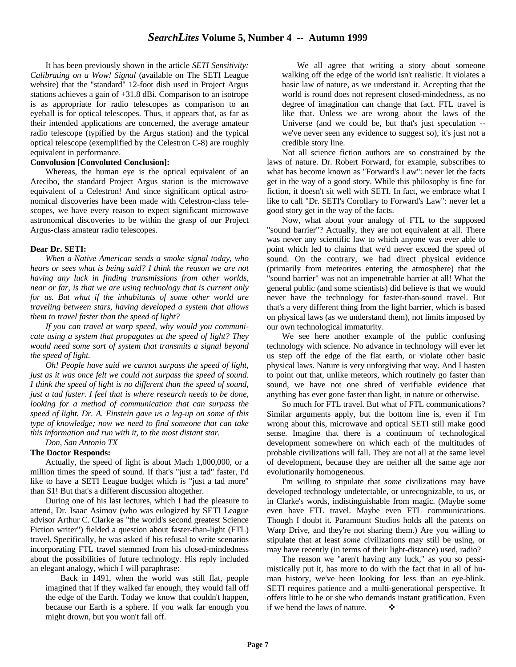It has been previously shown in the article *SETI Sensitivity: Calibrating on a Wow! Signal* (available on The SETI League website) that the "standard" 12-foot dish used in Project Argus stations achieves a gain of +31.8 dBi. Comparison to an isotrope is as appropriate for radio telescopes as comparison to an eyeball is for optical telescopes. Thus, it appears that, as far as their intended applications are concerned, the average amateur radio telescope (typified by the Argus station) and the typical optical telescope (exemplified by the Celestron C-8) are roughly equivalent in performance.

#### **Convolusion [Convoluted Conclusion]:**

Whereas, the human eye is the optical equivalent of an Arecibo, the standard Project Argus station is the microwave equivalent of a Celestron! And since significant optical astronomical discoveries have been made with Celestron-class telescopes, we have every reason to expect significant microwave astronomical discoveries to be within the grasp of our Project Argus-class amateur radio telescopes.

#### **Dear Dr. SETI:**

*When a Native American sends a smoke signal today, who hears or sees what is being said? I think the reason we are not having any luck in finding transmissions from other worlds, near or far, is that we are using technology that is current only for us. But what if the inhabitants of some other world are traveling between stars, having developed a system that allows them to travel faster than the speed of light?*

*If you can travel at warp speed, why would you communicate using a system that propagates at the speed of light? They would need some sort of system that transmits a signal beyond the speed of light.*

*Oh! People have said we cannot surpass the speed of light, just as it was once felt we could not surpass the speed of sound. I think the speed of light is no different than the speed of sound, just a tad faster. I feel that is where research needs to be done, looking for a method of communication that can surpass the speed of light. Dr. A. Einstein gave us a leg-up on some of this type of knowledge; now we need to find someone that can take this information and run with it, to the most distant star.*

*Don, San Antonio TX*

#### **The Doctor Responds:**

Actually, the speed of light is about Mach 1,000,000, or a million times the speed of sound. If that's "just a tad" faster, I'd like to have a SETI League budget which is "just a tad more" than \$1! But that's a different discussion altogether.

During one of his last lectures, which I had the pleasure to attend, Dr. Isaac Asimov (who was eulogized by SETI League advisor Arthur C. Clarke as "the world's second greatest Science Fiction writer") fielded a question about faster-than-light (FTL) travel. Specifically, he was asked if his refusal to write scenarios incorporating FTL travel stemmed from his closed-mindedness about the possibilities of future technology. His reply included an elegant analogy, which I will paraphrase:

 Back in 1491, when the world was still flat, people imagined that if they walked far enough, they would fall off the edge of the Earth. Today we know that couldn't happen, because our Earth is a sphere. If you walk far enough you might drown, but you won't fall off.

 We all agree that writing a story about someone walking off the edge of the world isn't realistic. It violates a basic law of nature, as we understand it. Accepting that the world is round does not represent closed-mindedness, as no degree of imagination can change that fact. FTL travel is like that. Unless we are wrong about the laws of the Universe (and we could be, but that's just speculation - we've never seen any evidence to suggest so), it's just not a credible story line.

Not all science fiction authors are so constrained by the laws of nature. Dr. Robert Forward, for example, subscribes to what has become known as "Forward's Law": never let the facts get in the way of a good story. While this philosophy is fine for fiction, it doesn't sit well with SETI. In fact, we embrace what I like to call "Dr. SETI's Corollary to Forward's Law": never let a good story get in the way of the facts.

Now, what about your analogy of FTL to the supposed "sound barrier"? Actually, they are not equivalent at all. There was never any scientific law to which anyone was ever able to point which led to claims that we'd never exceed the speed of sound. On the contrary, we had direct physical evidence (primarily from meteorites entering the atmosphere) that the "sound barrier" was not an impenetrable barrier at all! What the general public (and some scientists) did believe is that we would never have the technology for faster-than-sound travel. But that's a very different thing from the light barrier, which is based on physical laws (as we understand them), not limits imposed by our own technological immaturity.

We see here another example of the public confusing technology with science. No advance in technology will ever let us step off the edge of the flat earth, or violate other basic physical laws. Nature is very unforgiving that way. And I hasten to point out that, unlike meteors, which routinely go faster than sound, we have not one shred of verifiable evidence that anything has ever gone faster than light, in nature or otherwise.

So much for FTL travel. But what of FTL communications? Similar arguments apply, but the bottom line is, even if I'm wrong about this, microwave and optical SETI still make good sense. Imagine that there is a continuum of technological development somewhere on which each of the multitudes of probable civilizations will fall. They are not all at the same level of development, because they are neither all the same age nor evolutionarily homogeneous.

I'm willing to stipulate that *some* civilizations may have developed technology undetectable, or unrecognizable, to us, or in Clarke's words, indistinguishable from magic. (Maybe some even have FTL travel. Maybe even FTL communications. Though I doubt it. Paramount Studios holds all the patents on Warp Drive, and they're not sharing them.) Are you willing to stipulate that at least *some* civilizations may still be using, or may have recently (in terms of their light-distance) used, radio?

The reason we "aren't having any luck," as you so pessimistically put it, has more to do with the fact that in all of human history, we've been looking for less than an eye-blink. SETI requires patience and a multi-generational perspective. It offers little to he or she who demands instant gratification. Even if we bend the laws of nature.  $\bullet$